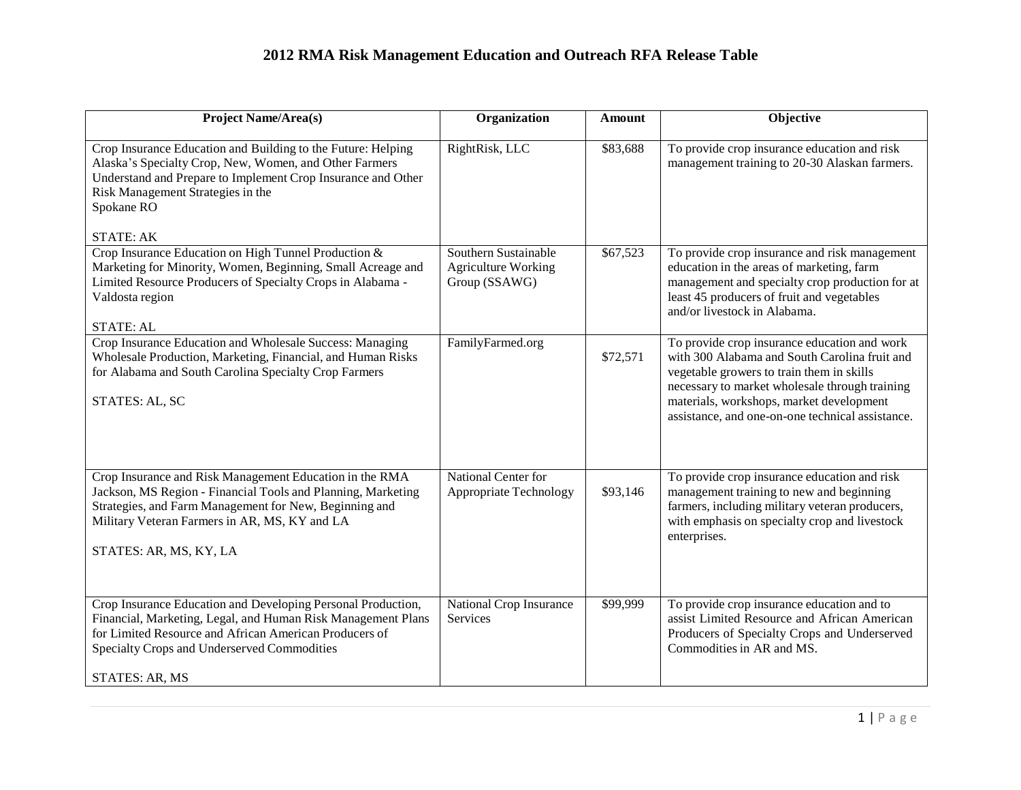| <b>Project Name/Area(s)</b>                                                                                                                                                                                                                                   | Organization                                | <b>Amount</b> | Objective                                                                                                                                      |
|---------------------------------------------------------------------------------------------------------------------------------------------------------------------------------------------------------------------------------------------------------------|---------------------------------------------|---------------|------------------------------------------------------------------------------------------------------------------------------------------------|
| Crop Insurance Education and Building to the Future: Helping<br>Alaska's Specialty Crop, New, Women, and Other Farmers<br>Understand and Prepare to Implement Crop Insurance and Other<br>Risk Management Strategies in the<br>Spokane RO<br><b>STATE: AK</b> | RightRisk, LLC                              | \$83,688      | To provide crop insurance education and risk<br>management training to 20-30 Alaskan farmers.                                                  |
| Crop Insurance Education on High Tunnel Production &                                                                                                                                                                                                          | Southern Sustainable                        | \$67,523      | To provide crop insurance and risk management                                                                                                  |
| Marketing for Minority, Women, Beginning, Small Acreage and<br>Limited Resource Producers of Specialty Crops in Alabama -                                                                                                                                     | <b>Agriculture Working</b><br>Group (SSAWG) |               | education in the areas of marketing, farm<br>management and specialty crop production for at                                                   |
| Valdosta region                                                                                                                                                                                                                                               |                                             |               | least 45 producers of fruit and vegetables<br>and/or livestock in Alabama.                                                                     |
| <b>STATE: AL</b>                                                                                                                                                                                                                                              |                                             |               |                                                                                                                                                |
| Crop Insurance Education and Wholesale Success: Managing<br>Wholesale Production, Marketing, Financial, and Human Risks                                                                                                                                       | FamilyFarmed.org                            | \$72,571      | To provide crop insurance education and work<br>with 300 Alabama and South Carolina fruit and                                                  |
| for Alabama and South Carolina Specialty Crop Farmers                                                                                                                                                                                                         |                                             |               | vegetable growers to train them in skills                                                                                                      |
| STATES: AL, SC                                                                                                                                                                                                                                                |                                             |               | necessary to market wholesale through training<br>materials, workshops, market development<br>assistance, and one-on-one technical assistance. |
| Crop Insurance and Risk Management Education in the RMA                                                                                                                                                                                                       | National Center for                         |               | To provide crop insurance education and risk                                                                                                   |
| Jackson, MS Region - Financial Tools and Planning, Marketing<br>Strategies, and Farm Management for New, Beginning and                                                                                                                                        | <b>Appropriate Technology</b>               | \$93,146      | management training to new and beginning<br>farmers, including military veteran producers,                                                     |
| Military Veteran Farmers in AR, MS, KY and LA                                                                                                                                                                                                                 |                                             |               | with emphasis on specialty crop and livestock                                                                                                  |
| STATES: AR, MS, KY, LA                                                                                                                                                                                                                                        |                                             |               | enterprises.                                                                                                                                   |
|                                                                                                                                                                                                                                                               |                                             |               |                                                                                                                                                |
| Crop Insurance Education and Developing Personal Production,                                                                                                                                                                                                  | National Crop Insurance                     | \$99,999      | To provide crop insurance education and to                                                                                                     |
| Financial, Marketing, Legal, and Human Risk Management Plans<br>for Limited Resource and African American Producers of                                                                                                                                        | Services                                    |               | assist Limited Resource and African American<br>Producers of Specialty Crops and Underserved                                                   |
| Specialty Crops and Underserved Commodities                                                                                                                                                                                                                   |                                             |               | Commodities in AR and MS.                                                                                                                      |
| STATES: AR, MS                                                                                                                                                                                                                                                |                                             |               |                                                                                                                                                |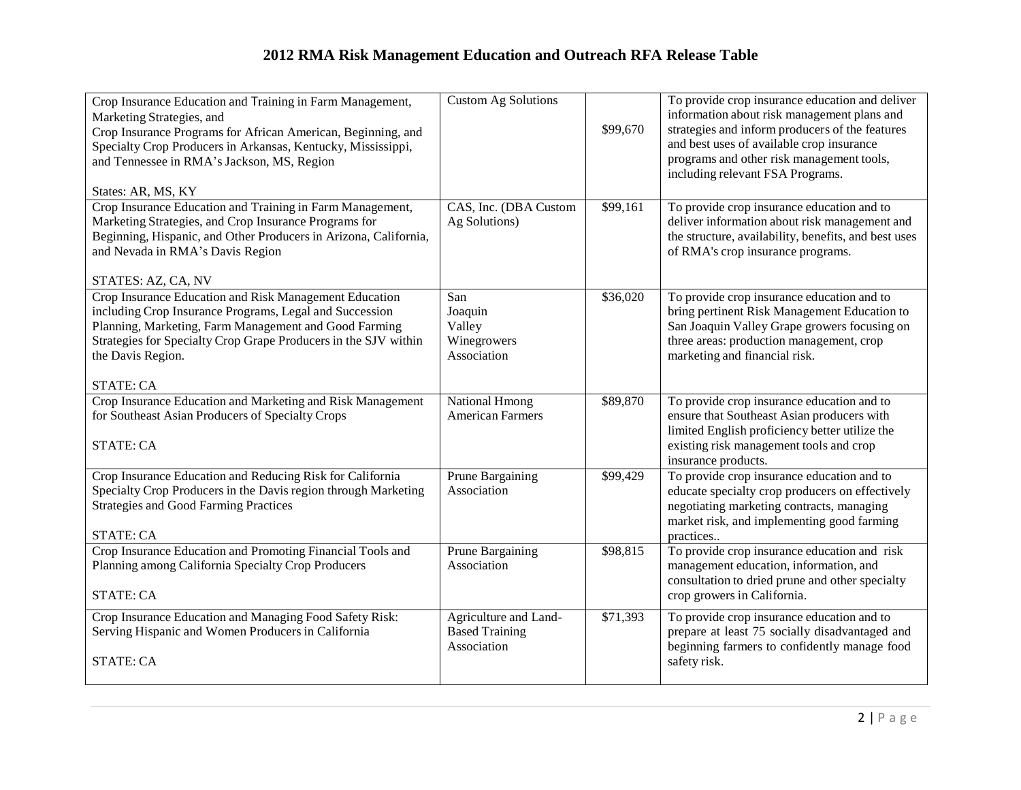| Crop Insurance Education and Training in Farm Management,<br>Marketing Strategies, and<br>Crop Insurance Programs for African American, Beginning, and<br>Specialty Crop Producers in Arkansas, Kentucky, Mississippi,<br>and Tennessee in RMA's Jackson, MS, Region<br>States: AR, MS, KY | <b>Custom Ag Solutions</b>                                    | \$99,670 | To provide crop insurance education and deliver<br>information about risk management plans and<br>strategies and inform producers of the features<br>and best uses of available crop insurance<br>programs and other risk management tools,<br>including relevant FSA Programs. |
|--------------------------------------------------------------------------------------------------------------------------------------------------------------------------------------------------------------------------------------------------------------------------------------------|---------------------------------------------------------------|----------|---------------------------------------------------------------------------------------------------------------------------------------------------------------------------------------------------------------------------------------------------------------------------------|
| Crop Insurance Education and Training in Farm Management,<br>Marketing Strategies, and Crop Insurance Programs for<br>Beginning, Hispanic, and Other Producers in Arizona, California,<br>and Nevada in RMA's Davis Region<br>STATES: AZ, CA, NV                                           | CAS, Inc. (DBA Custom<br>Ag Solutions)                        | \$99,161 | To provide crop insurance education and to<br>deliver information about risk management and<br>the structure, availability, benefits, and best uses<br>of RMA's crop insurance programs.                                                                                        |
| Crop Insurance Education and Risk Management Education<br>including Crop Insurance Programs, Legal and Succession<br>Planning, Marketing, Farm Management and Good Farming<br>Strategies for Specialty Crop Grape Producers in the SJV within<br>the Davis Region.<br><b>STATE: CA</b>     | San<br>Joaquin<br>Valley<br>Winegrowers<br>Association        | \$36,020 | To provide crop insurance education and to<br>bring pertinent Risk Management Education to<br>San Joaquin Valley Grape growers focusing on<br>three areas: production management, crop<br>marketing and financial risk.                                                         |
| Crop Insurance Education and Marketing and Risk Management<br>for Southeast Asian Producers of Specialty Crops<br><b>STATE: CA</b>                                                                                                                                                         | National Hmong<br><b>American Farmers</b>                     | \$89,870 | To provide crop insurance education and to<br>ensure that Southeast Asian producers with<br>limited English proficiency better utilize the<br>existing risk management tools and crop<br>insurance products.                                                                    |
| Crop Insurance Education and Reducing Risk for California<br>Specialty Crop Producers in the Davis region through Marketing<br><b>Strategies and Good Farming Practices</b><br><b>STATE: CA</b>                                                                                            | Prune Bargaining<br>Association                               | \$99,429 | To provide crop insurance education and to<br>educate specialty crop producers on effectively<br>negotiating marketing contracts, managing<br>market risk, and implementing good farming<br>practices                                                                           |
| Crop Insurance Education and Promoting Financial Tools and<br>Planning among California Specialty Crop Producers<br><b>STATE: CA</b>                                                                                                                                                       | <b>Prune Bargaining</b><br>Association                        | \$98,815 | To provide crop insurance education and risk<br>management education, information, and<br>consultation to dried prune and other specialty<br>crop growers in California.                                                                                                        |
| Crop Insurance Education and Managing Food Safety Risk:<br>Serving Hispanic and Women Producers in California<br><b>STATE: CA</b>                                                                                                                                                          | Agriculture and Land-<br><b>Based Training</b><br>Association | \$71,393 | To provide crop insurance education and to<br>prepare at least 75 socially disadvantaged and<br>beginning farmers to confidently manage food<br>safety risk.                                                                                                                    |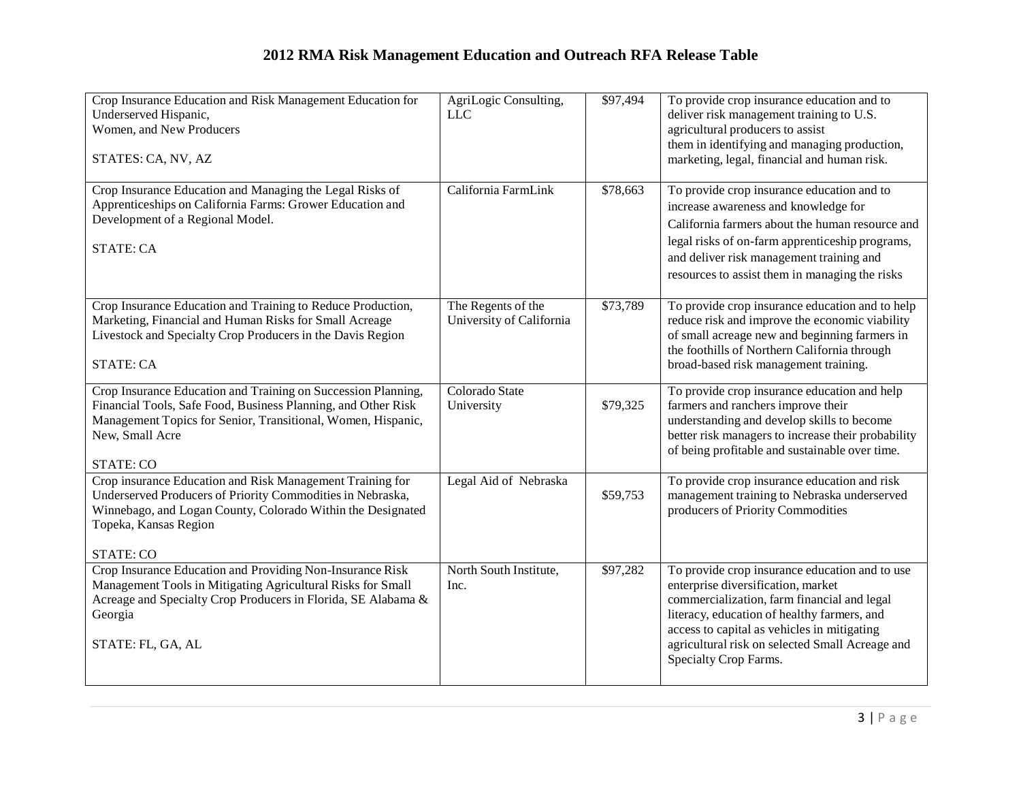| Crop Insurance Education and Risk Management Education for<br>Underserved Hispanic,<br>Women, and New Producers<br>STATES: CA, NV, AZ                                                                                                 | AgriLogic Consulting,<br><b>LLC</b>            | \$97,494 | To provide crop insurance education and to<br>deliver risk management training to U.S.<br>agricultural producers to assist<br>them in identifying and managing production,<br>marketing, legal, financial and human risk.                                                                                     |
|---------------------------------------------------------------------------------------------------------------------------------------------------------------------------------------------------------------------------------------|------------------------------------------------|----------|---------------------------------------------------------------------------------------------------------------------------------------------------------------------------------------------------------------------------------------------------------------------------------------------------------------|
| Crop Insurance Education and Managing the Legal Risks of<br>Apprenticeships on California Farms: Grower Education and<br>Development of a Regional Model.<br><b>STATE: CA</b>                                                         | California FarmLink                            | \$78,663 | To provide crop insurance education and to<br>increase awareness and knowledge for<br>California farmers about the human resource and<br>legal risks of on-farm apprenticeship programs,<br>and deliver risk management training and<br>resources to assist them in managing the risks                        |
| Crop Insurance Education and Training to Reduce Production,<br>Marketing, Financial and Human Risks for Small Acreage<br>Livestock and Specialty Crop Producers in the Davis Region<br><b>STATE: CA</b>                               | The Regents of the<br>University of California | \$73,789 | To provide crop insurance education and to help<br>reduce risk and improve the economic viability<br>of small acreage new and beginning farmers in<br>the foothills of Northern California through<br>broad-based risk management training.                                                                   |
| Crop Insurance Education and Training on Succession Planning,<br>Financial Tools, Safe Food, Business Planning, and Other Risk<br>Management Topics for Senior, Transitional, Women, Hispanic,<br>New, Small Acre<br><b>STATE: CO</b> | Colorado State<br>University                   | \$79,325 | To provide crop insurance education and help<br>farmers and ranchers improve their<br>understanding and develop skills to become<br>better risk managers to increase their probability<br>of being profitable and sustainable over time.                                                                      |
| Crop insurance Education and Risk Management Training for<br>Underserved Producers of Priority Commodities in Nebraska,<br>Winnebago, and Logan County, Colorado Within the Designated<br>Topeka, Kansas Region<br><b>STATE: CO</b>   | Legal Aid of Nebraska                          | \$59,753 | To provide crop insurance education and risk<br>management training to Nebraska underserved<br>producers of Priority Commodities                                                                                                                                                                              |
| Crop Insurance Education and Providing Non-Insurance Risk<br>Management Tools in Mitigating Agricultural Risks for Small<br>Acreage and Specialty Crop Producers in Florida, SE Alabama &<br>Georgia<br>STATE: FL, GA, AL             | North South Institute,<br>Inc.                 | \$97,282 | To provide crop insurance education and to use<br>enterprise diversification, market<br>commercialization, farm financial and legal<br>literacy, education of healthy farmers, and<br>access to capital as vehicles in mitigating<br>agricultural risk on selected Small Acreage and<br>Specialty Crop Farms. |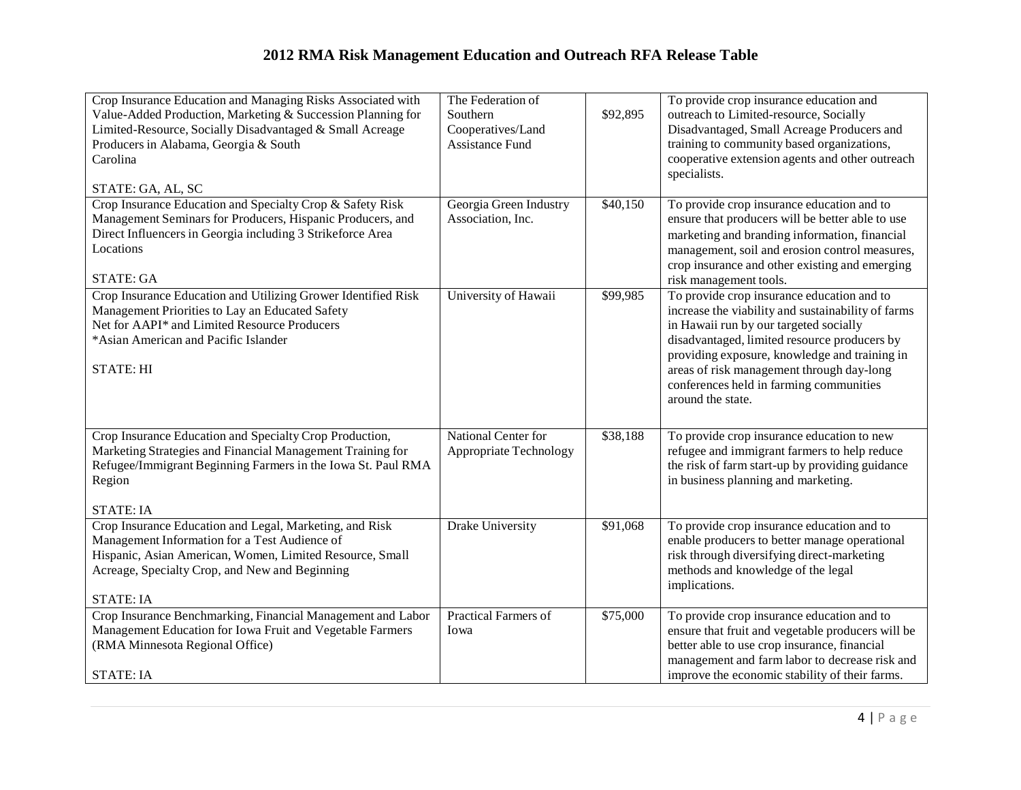| Crop Insurance Education and Managing Risks Associated with<br>Value-Added Production, Marketing & Succession Planning for<br>Limited-Resource, Socially Disadvantaged & Small Acreage<br>Producers in Alabama, Georgia & South<br>Carolina<br>STATE: GA, AL, SC | The Federation of<br>Southern<br>Cooperatives/Land<br><b>Assistance Fund</b> | \$92,895 | To provide crop insurance education and<br>outreach to Limited-resource, Socially<br>Disadvantaged, Small Acreage Producers and<br>training to community based organizations,<br>cooperative extension agents and other outreach<br>specialists.                                                                                                         |
|------------------------------------------------------------------------------------------------------------------------------------------------------------------------------------------------------------------------------------------------------------------|------------------------------------------------------------------------------|----------|----------------------------------------------------------------------------------------------------------------------------------------------------------------------------------------------------------------------------------------------------------------------------------------------------------------------------------------------------------|
| Crop Insurance Education and Specialty Crop & Safety Risk<br>Management Seminars for Producers, Hispanic Producers, and<br>Direct Influencers in Georgia including 3 Strikeforce Area<br>Locations<br><b>STATE: GA</b>                                           | Georgia Green Industry<br>Association, Inc.                                  | \$40,150 | To provide crop insurance education and to<br>ensure that producers will be better able to use<br>marketing and branding information, financial<br>management, soil and erosion control measures,<br>crop insurance and other existing and emerging<br>risk management tools.                                                                            |
| Crop Insurance Education and Utilizing Grower Identified Risk<br>Management Priorities to Lay an Educated Safety<br>Net for AAPI* and Limited Resource Producers<br>*Asian American and Pacific Islander<br><b>STATE: HI</b>                                     | University of Hawaii                                                         | \$99,985 | To provide crop insurance education and to<br>increase the viability and sustainability of farms<br>in Hawaii run by our targeted socially<br>disadvantaged, limited resource producers by<br>providing exposure, knowledge and training in<br>areas of risk management through day-long<br>conferences held in farming communities<br>around the state. |
| Crop Insurance Education and Specialty Crop Production,<br>Marketing Strategies and Financial Management Training for<br>Refugee/Immigrant Beginning Farmers in the Iowa St. Paul RMA<br>Region<br><b>STATE: IA</b>                                              | National Center for<br><b>Appropriate Technology</b>                         | \$38,188 | To provide crop insurance education to new<br>refugee and immigrant farmers to help reduce<br>the risk of farm start-up by providing guidance<br>in business planning and marketing.                                                                                                                                                                     |
| Crop Insurance Education and Legal, Marketing, and Risk<br>Management Information for a Test Audience of<br>Hispanic, Asian American, Women, Limited Resource, Small<br>Acreage, Specialty Crop, and New and Beginning<br><b>STATE: IA</b>                       | <b>Drake University</b>                                                      | \$91,068 | To provide crop insurance education and to<br>enable producers to better manage operational<br>risk through diversifying direct-marketing<br>methods and knowledge of the legal<br>implications.                                                                                                                                                         |
| Crop Insurance Benchmarking, Financial Management and Labor<br>Management Education for Iowa Fruit and Vegetable Farmers<br>(RMA Minnesota Regional Office)<br><b>STATE: IA</b>                                                                                  | <b>Practical Farmers of</b><br>Iowa                                          | \$75,000 | To provide crop insurance education and to<br>ensure that fruit and vegetable producers will be<br>better able to use crop insurance, financial<br>management and farm labor to decrease risk and<br>improve the economic stability of their farms.                                                                                                      |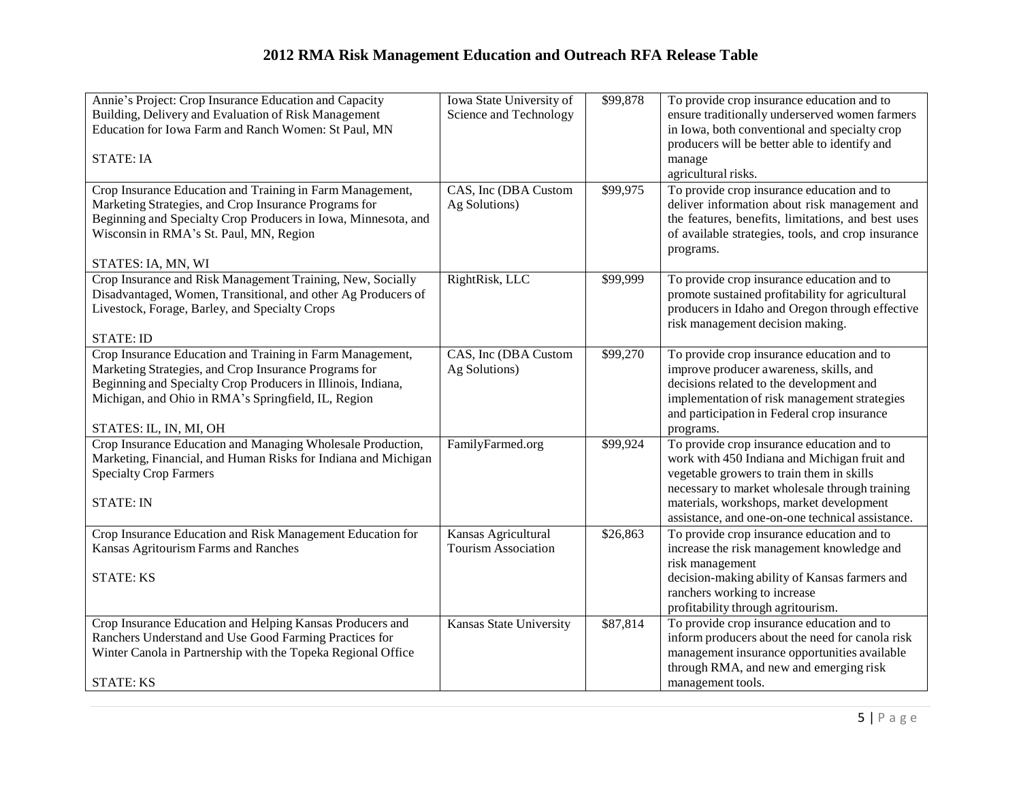| Annie's Project: Crop Insurance Education and Capacity<br>Building, Delivery and Evaluation of Risk Management<br>Education for Iowa Farm and Ranch Women: St Paul, MN<br><b>STATE: IA</b>                                                                          | Iowa State University of<br>Science and Technology | \$99,878 | To provide crop insurance education and to<br>ensure traditionally underserved women farmers<br>in Iowa, both conventional and specialty crop<br>producers will be better able to identify and<br>manage<br>agricultural risks.                                                           |
|---------------------------------------------------------------------------------------------------------------------------------------------------------------------------------------------------------------------------------------------------------------------|----------------------------------------------------|----------|-------------------------------------------------------------------------------------------------------------------------------------------------------------------------------------------------------------------------------------------------------------------------------------------|
| Crop Insurance Education and Training in Farm Management,<br>Marketing Strategies, and Crop Insurance Programs for<br>Beginning and Specialty Crop Producers in Iowa, Minnesota, and<br>Wisconsin in RMA's St. Paul, MN, Region<br>STATES: IA, MN, WI               | CAS, Inc (DBA Custom<br>Ag Solutions)              | \$99,975 | To provide crop insurance education and to<br>deliver information about risk management and<br>the features, benefits, limitations, and best uses<br>of available strategies, tools, and crop insurance<br>programs.                                                                      |
| Crop Insurance and Risk Management Training, New, Socially<br>Disadvantaged, Women, Transitional, and other Ag Producers of<br>Livestock, Forage, Barley, and Specialty Crops<br><b>STATE: ID</b>                                                                   | RightRisk, LLC                                     | \$99,999 | To provide crop insurance education and to<br>promote sustained profitability for agricultural<br>producers in Idaho and Oregon through effective<br>risk management decision making.                                                                                                     |
| Crop Insurance Education and Training in Farm Management,<br>Marketing Strategies, and Crop Insurance Programs for<br>Beginning and Specialty Crop Producers in Illinois, Indiana,<br>Michigan, and Ohio in RMA's Springfield, IL, Region<br>STATES: IL, IN, MI, OH | CAS, Inc (DBA Custom<br>Ag Solutions)              | \$99,270 | To provide crop insurance education and to<br>improve producer awareness, skills, and<br>decisions related to the development and<br>implementation of risk management strategies<br>and participation in Federal crop insurance<br>programs.                                             |
| Crop Insurance Education and Managing Wholesale Production,<br>Marketing, Financial, and Human Risks for Indiana and Michigan<br><b>Specialty Crop Farmers</b><br><b>STATE: IN</b>                                                                                  | FamilyFarmed.org                                   | \$99,924 | To provide crop insurance education and to<br>work with 450 Indiana and Michigan fruit and<br>vegetable growers to train them in skills<br>necessary to market wholesale through training<br>materials, workshops, market development<br>assistance, and one-on-one technical assistance. |
| Crop Insurance Education and Risk Management Education for<br>Kansas Agritourism Farms and Ranches<br><b>STATE: KS</b>                                                                                                                                              | Kansas Agricultural<br><b>Tourism Association</b>  | \$26,863 | To provide crop insurance education and to<br>increase the risk management knowledge and<br>risk management<br>decision-making ability of Kansas farmers and<br>ranchers working to increase<br>profitability through agritourism.                                                        |
| Crop Insurance Education and Helping Kansas Producers and<br>Ranchers Understand and Use Good Farming Practices for<br>Winter Canola in Partnership with the Topeka Regional Office<br><b>STATE: KS</b>                                                             | Kansas State University                            | \$87,814 | To provide crop insurance education and to<br>inform producers about the need for canola risk<br>management insurance opportunities available<br>through RMA, and new and emerging risk<br>management tools.                                                                              |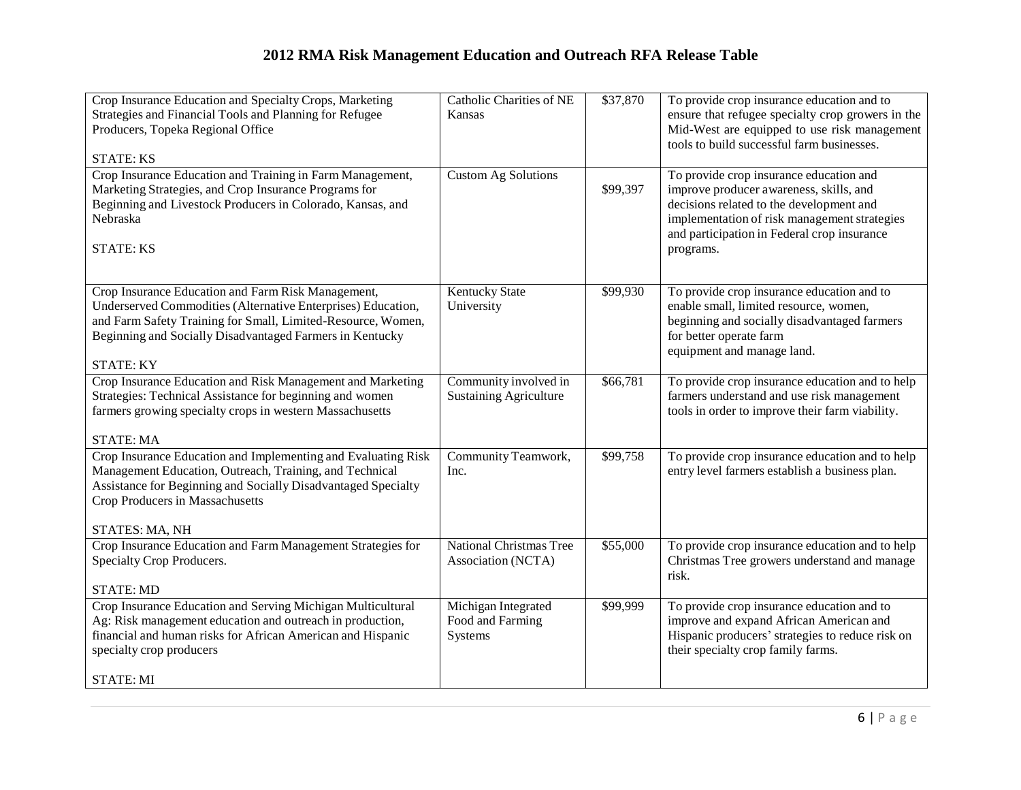| Crop Insurance Education and Specialty Crops, Marketing<br>Strategies and Financial Tools and Planning for Refugee<br>Producers, Topeka Regional Office<br><b>STATE: KS</b>                                                                                        | <b>Catholic Charities of NE</b><br>Kansas              | \$37,870 | To provide crop insurance education and to<br>ensure that refugee specialty crop growers in the<br>Mid-West are equipped to use risk management<br>tools to build successful farm businesses.                                              |
|--------------------------------------------------------------------------------------------------------------------------------------------------------------------------------------------------------------------------------------------------------------------|--------------------------------------------------------|----------|--------------------------------------------------------------------------------------------------------------------------------------------------------------------------------------------------------------------------------------------|
| Crop Insurance Education and Training in Farm Management,<br>Marketing Strategies, and Crop Insurance Programs for<br>Beginning and Livestock Producers in Colorado, Kansas, and<br>Nebraska<br><b>STATE: KS</b>                                                   | <b>Custom Ag Solutions</b>                             | \$99,397 | To provide crop insurance education and<br>improve producer awareness, skills, and<br>decisions related to the development and<br>implementation of risk management strategies<br>and participation in Federal crop insurance<br>programs. |
| Crop Insurance Education and Farm Risk Management,<br>Underserved Commodities (Alternative Enterprises) Education,<br>and Farm Safety Training for Small, Limited-Resource, Women,<br>Beginning and Socially Disadvantaged Farmers in Kentucky<br><b>STATE: KY</b> | <b>Kentucky State</b><br>University                    | \$99,930 | To provide crop insurance education and to<br>enable small, limited resource, women,<br>beginning and socially disadvantaged farmers<br>for better operate farm<br>equipment and manage land.                                              |
| Crop Insurance Education and Risk Management and Marketing<br>Strategies: Technical Assistance for beginning and women<br>farmers growing specialty crops in western Massachusetts<br><b>STATE: MA</b>                                                             | Community involved in<br><b>Sustaining Agriculture</b> | \$66,781 | To provide crop insurance education and to help<br>farmers understand and use risk management<br>tools in order to improve their farm viability.                                                                                           |
| Crop Insurance Education and Implementing and Evaluating Risk<br>Management Education, Outreach, Training, and Technical<br>Assistance for Beginning and Socially Disadvantaged Specialty<br>Crop Producers in Massachusetts<br>STATES: MA, NH                     | Community Teamwork,<br>Inc.                            | \$99,758 | To provide crop insurance education and to help<br>entry level farmers establish a business plan.                                                                                                                                          |
| Crop Insurance Education and Farm Management Strategies for<br>Specialty Crop Producers.<br><b>STATE: MD</b>                                                                                                                                                       | <b>National Christmas Tree</b><br>Association (NCTA)   | \$55,000 | To provide crop insurance education and to help<br>Christmas Tree growers understand and manage<br>risk.                                                                                                                                   |
| Crop Insurance Education and Serving Michigan Multicultural<br>Ag: Risk management education and outreach in production,<br>financial and human risks for African American and Hispanic<br>specialty crop producers<br><b>STATE: MI</b>                            | Michigan Integrated<br>Food and Farming<br>Systems     | \$99,999 | To provide crop insurance education and to<br>improve and expand African American and<br>Hispanic producers' strategies to reduce risk on<br>their specialty crop family farms.                                                            |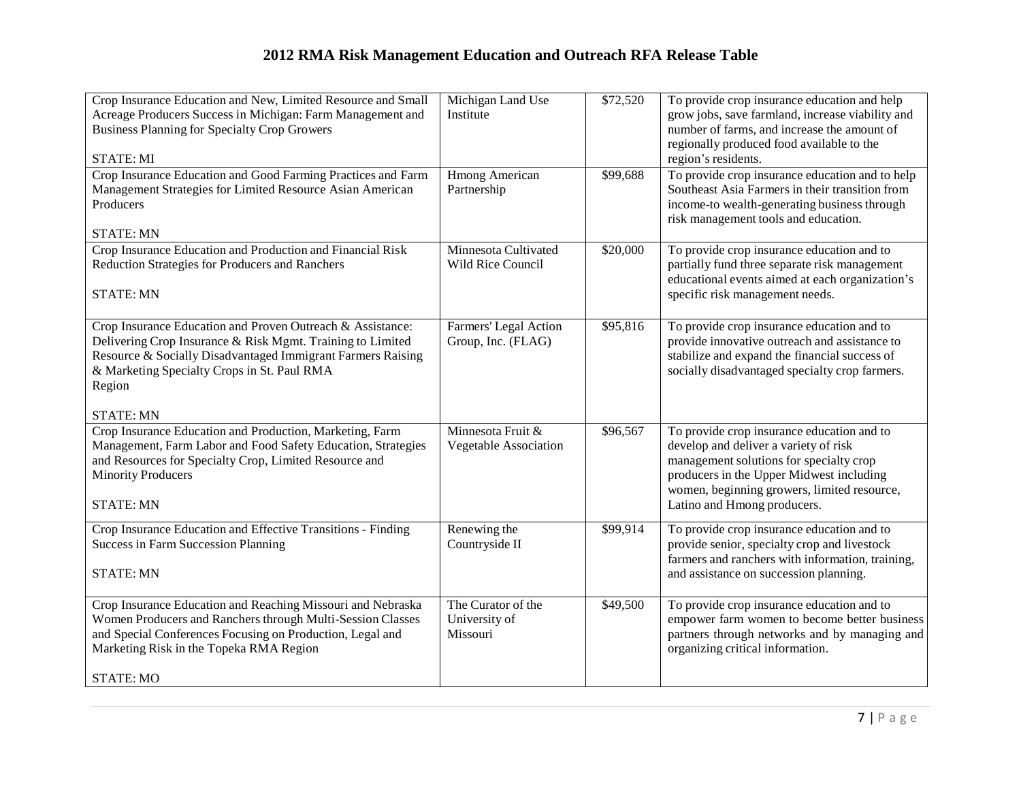| Crop Insurance Education and New, Limited Resource and Small<br>Acreage Producers Success in Michigan: Farm Management and<br><b>Business Planning for Specialty Crop Growers</b><br><b>STATE: MI</b>                                                                | Michigan Land Use<br>Institute                  | \$72,520 | To provide crop insurance education and help<br>grow jobs, save farmland, increase viability and<br>number of farms, and increase the amount of<br>regionally produced food available to the<br>region's residents.                                      |
|----------------------------------------------------------------------------------------------------------------------------------------------------------------------------------------------------------------------------------------------------------------------|-------------------------------------------------|----------|----------------------------------------------------------------------------------------------------------------------------------------------------------------------------------------------------------------------------------------------------------|
| Crop Insurance Education and Good Farming Practices and Farm<br>Management Strategies for Limited Resource Asian American<br>Producers<br><b>STATE: MN</b>                                                                                                           | <b>Hmong American</b><br>Partnership            | \$99,688 | To provide crop insurance education and to help<br>Southeast Asia Farmers in their transition from<br>income-to wealth-generating business through<br>risk management tools and education.                                                               |
| Crop Insurance Education and Production and Financial Risk<br>Reduction Strategies for Producers and Ranchers<br><b>STATE: MN</b>                                                                                                                                    | Minnesota Cultivated<br>Wild Rice Council       | \$20,000 | To provide crop insurance education and to<br>partially fund three separate risk management<br>educational events aimed at each organization's<br>specific risk management needs.                                                                        |
| Crop Insurance Education and Proven Outreach & Assistance:<br>Delivering Crop Insurance & Risk Mgmt. Training to Limited<br>Resource & Socially Disadvantaged Immigrant Farmers Raising<br>& Marketing Specialty Crops in St. Paul RMA<br>Region<br><b>STATE: MN</b> | Farmers' Legal Action<br>Group, Inc. (FLAG)     | \$95,816 | To provide crop insurance education and to<br>provide innovative outreach and assistance to<br>stabilize and expand the financial success of<br>socially disadvantaged specialty crop farmers.                                                           |
| Crop Insurance Education and Production, Marketing, Farm<br>Management, Farm Labor and Food Safety Education, Strategies<br>and Resources for Specialty Crop, Limited Resource and<br><b>Minority Producers</b><br><b>STATE: MN</b>                                  | Minnesota Fruit &<br>Vegetable Association      | \$96,567 | To provide crop insurance education and to<br>develop and deliver a variety of risk<br>management solutions for specialty crop<br>producers in the Upper Midwest including<br>women, beginning growers, limited resource,<br>Latino and Hmong producers. |
| Crop Insurance Education and Effective Transitions - Finding<br><b>Success in Farm Succession Planning</b><br><b>STATE: MN</b>                                                                                                                                       | Renewing the<br>Countryside II                  | \$99,914 | To provide crop insurance education and to<br>provide senior, specialty crop and livestock<br>farmers and ranchers with information, training,<br>and assistance on succession planning.                                                                 |
| Crop Insurance Education and Reaching Missouri and Nebraska<br>Women Producers and Ranchers through Multi-Session Classes<br>and Special Conferences Focusing on Production, Legal and<br>Marketing Risk in the Topeka RMA Region<br><b>STATE: MO</b>                | The Curator of the<br>University of<br>Missouri | \$49,500 | To provide crop insurance education and to<br>empower farm women to become better business<br>partners through networks and by managing and<br>organizing critical information.                                                                          |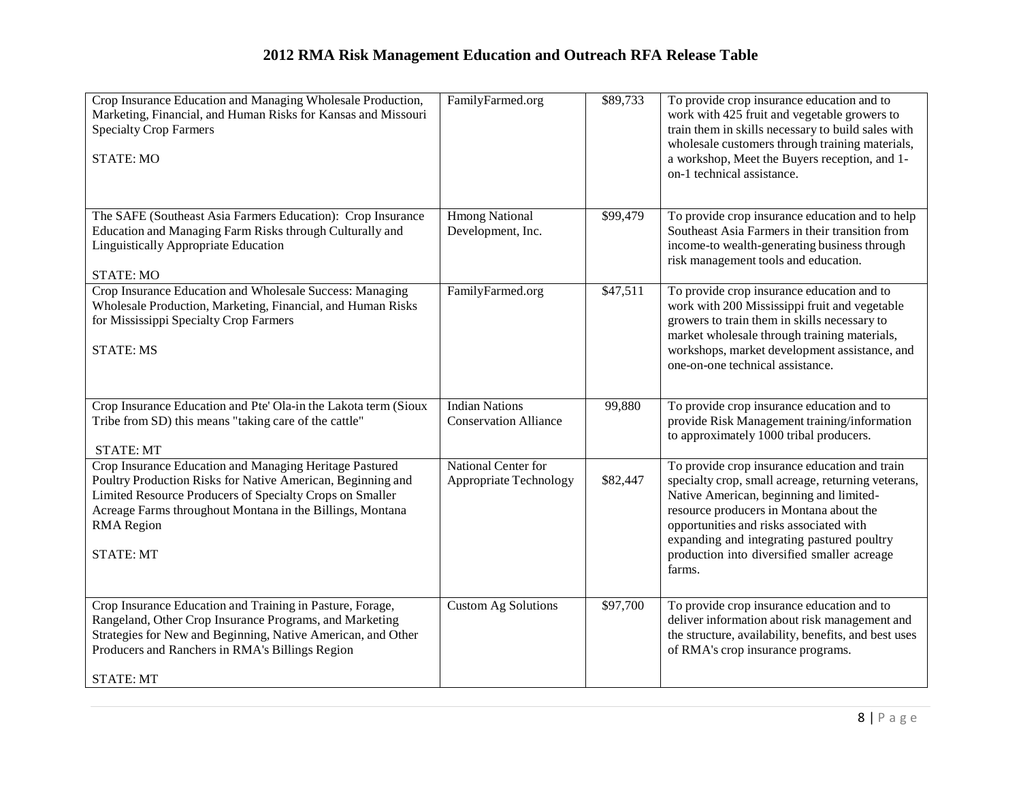| Crop Insurance Education and Managing Wholesale Production,<br>Marketing, Financial, and Human Risks for Kansas and Missouri<br><b>Specialty Crop Farmers</b><br><b>STATE: MO</b>                                                                                                        | FamilyFarmed.org                                      | \$89,733 | To provide crop insurance education and to<br>work with 425 fruit and vegetable growers to<br>train them in skills necessary to build sales with<br>wholesale customers through training materials,<br>a workshop, Meet the Buyers reception, and 1-<br>on-1 technical assistance.                                                          |
|------------------------------------------------------------------------------------------------------------------------------------------------------------------------------------------------------------------------------------------------------------------------------------------|-------------------------------------------------------|----------|---------------------------------------------------------------------------------------------------------------------------------------------------------------------------------------------------------------------------------------------------------------------------------------------------------------------------------------------|
| The SAFE (Southeast Asia Farmers Education): Crop Insurance<br>Education and Managing Farm Risks through Culturally and<br>Linguistically Appropriate Education<br><b>STATE: MO</b>                                                                                                      | <b>Hmong National</b><br>Development, Inc.            | \$99,479 | To provide crop insurance education and to help<br>Southeast Asia Farmers in their transition from<br>income-to wealth-generating business through<br>risk management tools and education.                                                                                                                                                  |
| Crop Insurance Education and Wholesale Success: Managing<br>Wholesale Production, Marketing, Financial, and Human Risks<br>for Mississippi Specialty Crop Farmers<br><b>STATE: MS</b>                                                                                                    | FamilyFarmed.org                                      | \$47,511 | To provide crop insurance education and to<br>work with 200 Mississippi fruit and vegetable<br>growers to train them in skills necessary to<br>market wholesale through training materials,<br>workshops, market development assistance, and<br>one-on-one technical assistance.                                                            |
| Crop Insurance Education and Pte' Ola-in the Lakota term (Sioux<br>Tribe from SD) this means "taking care of the cattle"<br><b>STATE: MT</b>                                                                                                                                             | <b>Indian Nations</b><br><b>Conservation Alliance</b> | 99,880   | To provide crop insurance education and to<br>provide Risk Management training/information<br>to approximately 1000 tribal producers.                                                                                                                                                                                                       |
| Crop Insurance Education and Managing Heritage Pastured<br>Poultry Production Risks for Native American, Beginning and<br>Limited Resource Producers of Specialty Crops on Smaller<br>Acreage Farms throughout Montana in the Billings, Montana<br><b>RMA</b> Region<br><b>STATE: MT</b> | National Center for<br>Appropriate Technology         | \$82,447 | To provide crop insurance education and train<br>specialty crop, small acreage, returning veterans,<br>Native American, beginning and limited-<br>resource producers in Montana about the<br>opportunities and risks associated with<br>expanding and integrating pastured poultry<br>production into diversified smaller acreage<br>farms. |
| Crop Insurance Education and Training in Pasture, Forage,<br>Rangeland, Other Crop Insurance Programs, and Marketing<br>Strategies for New and Beginning, Native American, and Other<br>Producers and Ranchers in RMA's Billings Region<br><b>STATE: MT</b>                              | <b>Custom Ag Solutions</b>                            | \$97,700 | To provide crop insurance education and to<br>deliver information about risk management and<br>the structure, availability, benefits, and best uses<br>of RMA's crop insurance programs.                                                                                                                                                    |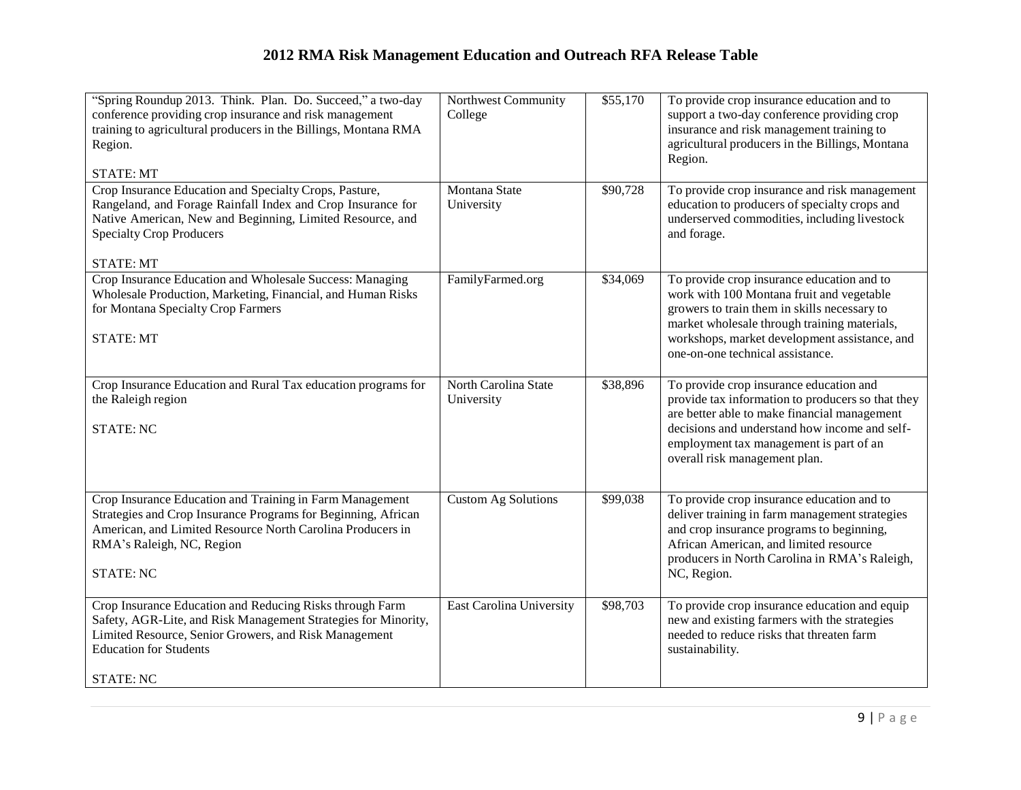| "Spring Roundup 2013. Think. Plan. Do. Succeed," a two-day<br>conference providing crop insurance and risk management<br>training to agricultural producers in the Billings, Montana RMA<br>Region.<br><b>STATE: MT</b>                   | Northwest Community<br>College     | \$55,170 | To provide crop insurance education and to<br>support a two-day conference providing crop<br>insurance and risk management training to<br>agricultural producers in the Billings, Montana<br>Region.                                                                         |
|-------------------------------------------------------------------------------------------------------------------------------------------------------------------------------------------------------------------------------------------|------------------------------------|----------|------------------------------------------------------------------------------------------------------------------------------------------------------------------------------------------------------------------------------------------------------------------------------|
| Crop Insurance Education and Specialty Crops, Pasture,<br>Rangeland, and Forage Rainfall Index and Crop Insurance for<br>Native American, New and Beginning, Limited Resource, and<br><b>Specialty Crop Producers</b><br><b>STATE: MT</b> | Montana State<br>University        | \$90,728 | To provide crop insurance and risk management<br>education to producers of specialty crops and<br>underserved commodities, including livestock<br>and forage.                                                                                                                |
| Crop Insurance Education and Wholesale Success: Managing<br>Wholesale Production, Marketing, Financial, and Human Risks<br>for Montana Specialty Crop Farmers<br><b>STATE: MT</b>                                                         | FamilyFarmed.org                   | \$34,069 | To provide crop insurance education and to<br>work with 100 Montana fruit and vegetable<br>growers to train them in skills necessary to<br>market wholesale through training materials,<br>workshops, market development assistance, and<br>one-on-one technical assistance. |
| Crop Insurance Education and Rural Tax education programs for<br>the Raleigh region<br><b>STATE: NC</b>                                                                                                                                   | North Carolina State<br>University | \$38,896 | To provide crop insurance education and<br>provide tax information to producers so that they<br>are better able to make financial management<br>decisions and understand how income and self-<br>employment tax management is part of an<br>overall risk management plan.    |
| Crop Insurance Education and Training in Farm Management<br>Strategies and Crop Insurance Programs for Beginning, African<br>American, and Limited Resource North Carolina Producers in<br>RMA's Raleigh, NC, Region<br><b>STATE: NC</b>  | <b>Custom Ag Solutions</b>         | \$99,038 | To provide crop insurance education and to<br>deliver training in farm management strategies<br>and crop insurance programs to beginning,<br>African American, and limited resource<br>producers in North Carolina in RMA's Raleigh,<br>NC, Region.                          |
| Crop Insurance Education and Reducing Risks through Farm<br>Safety, AGR-Lite, and Risk Management Strategies for Minority,<br>Limited Resource, Senior Growers, and Risk Management<br><b>Education for Students</b><br><b>STATE: NC</b>  | <b>East Carolina University</b>    | \$98,703 | To provide crop insurance education and equip<br>new and existing farmers with the strategies<br>needed to reduce risks that threaten farm<br>sustainability.                                                                                                                |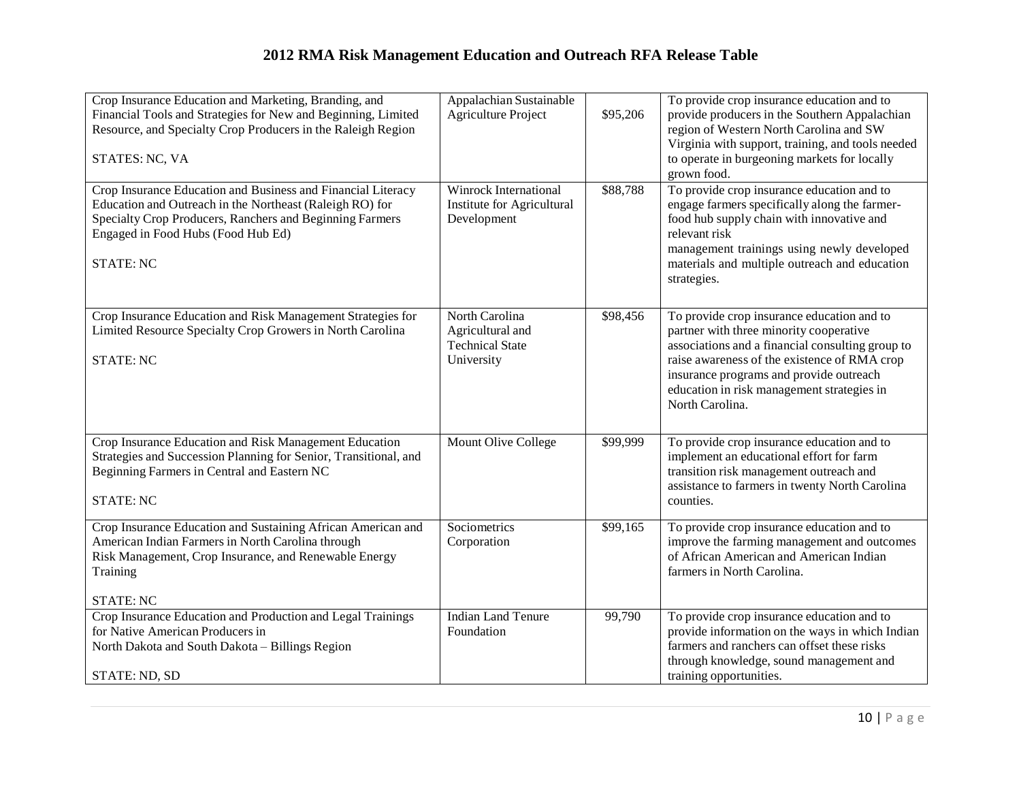| Crop Insurance Education and Marketing, Branding, and<br>Financial Tools and Strategies for New and Beginning, Limited<br>Resource, and Specialty Crop Producers in the Raleigh Region<br>STATES: NC, VA                                       | Appalachian Sustainable<br><b>Agriculture Project</b>                      | \$95,206 | To provide crop insurance education and to<br>provide producers in the Southern Appalachian<br>region of Western North Carolina and SW<br>Virginia with support, training, and tools needed<br>to operate in burgeoning markets for locally<br>grown food.                                            |
|------------------------------------------------------------------------------------------------------------------------------------------------------------------------------------------------------------------------------------------------|----------------------------------------------------------------------------|----------|-------------------------------------------------------------------------------------------------------------------------------------------------------------------------------------------------------------------------------------------------------------------------------------------------------|
| Crop Insurance Education and Business and Financial Literacy<br>Education and Outreach in the Northeast (Raleigh RO) for<br>Specialty Crop Producers, Ranchers and Beginning Farmers<br>Engaged in Food Hubs (Food Hub Ed)<br><b>STATE: NC</b> | <b>Winrock International</b><br>Institute for Agricultural<br>Development  | \$88,788 | To provide crop insurance education and to<br>engage farmers specifically along the farmer-<br>food hub supply chain with innovative and<br>relevant risk<br>management trainings using newly developed<br>materials and multiple outreach and education<br>strategies.                               |
| Crop Insurance Education and Risk Management Strategies for<br>Limited Resource Specialty Crop Growers in North Carolina<br><b>STATE: NC</b>                                                                                                   | North Carolina<br>Agricultural and<br><b>Technical State</b><br>University | \$98,456 | To provide crop insurance education and to<br>partner with three minority cooperative<br>associations and a financial consulting group to<br>raise awareness of the existence of RMA crop<br>insurance programs and provide outreach<br>education in risk management strategies in<br>North Carolina. |
| Crop Insurance Education and Risk Management Education<br>Strategies and Succession Planning for Senior, Transitional, and<br>Beginning Farmers in Central and Eastern NC<br><b>STATE: NC</b>                                                  | <b>Mount Olive College</b>                                                 | \$99,999 | To provide crop insurance education and to<br>implement an educational effort for farm<br>transition risk management outreach and<br>assistance to farmers in twenty North Carolina<br>counties.                                                                                                      |
| Crop Insurance Education and Sustaining African American and<br>American Indian Farmers in North Carolina through<br>Risk Management, Crop Insurance, and Renewable Energy<br>Training<br><b>STATE: NC</b>                                     | Sociometrics<br>Corporation                                                | \$99,165 | To provide crop insurance education and to<br>improve the farming management and outcomes<br>of African American and American Indian<br>farmers in North Carolina.                                                                                                                                    |
| Crop Insurance Education and Production and Legal Trainings<br>for Native American Producers in<br>North Dakota and South Dakota - Billings Region<br>STATE: ND, SD                                                                            | <b>Indian Land Tenure</b><br>Foundation                                    | 99,790   | To provide crop insurance education and to<br>provide information on the ways in which Indian<br>farmers and ranchers can offset these risks<br>through knowledge, sound management and<br>training opportunities.                                                                                    |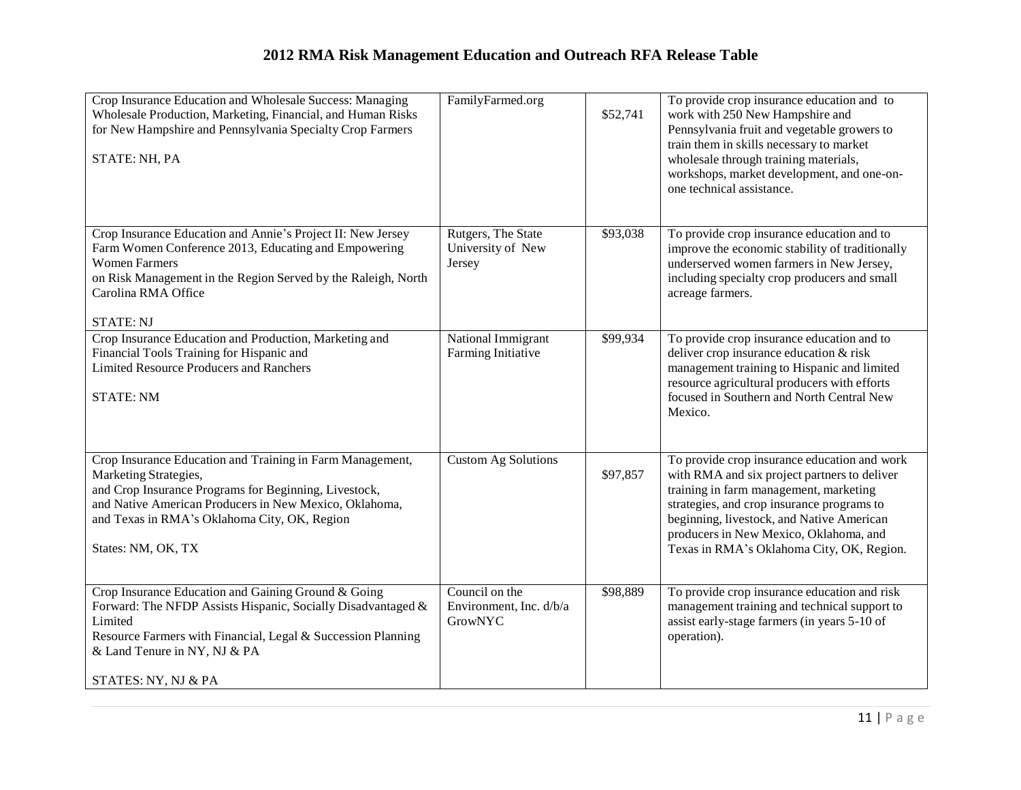| Crop Insurance Education and Wholesale Success: Managing<br>Wholesale Production, Marketing, Financial, and Human Risks<br>for New Hampshire and Pennsylvania Specialty Crop Farmers<br>STATE: NH, PA                                                                       | FamilyFarmed.org                                            | \$52,741 | To provide crop insurance education and to<br>work with 250 New Hampshire and<br>Pennsylvania fruit and vegetable growers to<br>train them in skills necessary to market<br>wholesale through training materials,<br>workshops, market development, and one-on-<br>one technical assistance.                             |
|-----------------------------------------------------------------------------------------------------------------------------------------------------------------------------------------------------------------------------------------------------------------------------|-------------------------------------------------------------|----------|--------------------------------------------------------------------------------------------------------------------------------------------------------------------------------------------------------------------------------------------------------------------------------------------------------------------------|
| Crop Insurance Education and Annie's Project II: New Jersey<br>Farm Women Conference 2013, Educating and Empowering<br><b>Women Farmers</b><br>on Risk Management in the Region Served by the Raleigh, North<br>Carolina RMA Office<br><b>STATE: NJ</b>                     | Rutgers, The State<br>University of New<br>Jersey           | \$93,038 | To provide crop insurance education and to<br>improve the economic stability of traditionally<br>underserved women farmers in New Jersey,<br>including specialty crop producers and small<br>acreage farmers.                                                                                                            |
| Crop Insurance Education and Production, Marketing and<br>Financial Tools Training for Hispanic and<br><b>Limited Resource Producers and Ranchers</b><br><b>STATE: NM</b>                                                                                                   | National Immigrant<br>Farming Initiative                    | \$99,934 | To provide crop insurance education and to<br>deliver crop insurance education & risk<br>management training to Hispanic and limited<br>resource agricultural producers with efforts<br>focused in Southern and North Central New<br>Mexico.                                                                             |
| Crop Insurance Education and Training in Farm Management,<br>Marketing Strategies,<br>and Crop Insurance Programs for Beginning, Livestock,<br>and Native American Producers in New Mexico, Oklahoma,<br>and Texas in RMA's Oklahoma City, OK, Region<br>States: NM, OK, TX | <b>Custom Ag Solutions</b>                                  | \$97,857 | To provide crop insurance education and work<br>with RMA and six project partners to deliver<br>training in farm management, marketing<br>strategies, and crop insurance programs to<br>beginning, livestock, and Native American<br>producers in New Mexico, Oklahoma, and<br>Texas in RMA's Oklahoma City, OK, Region. |
| Crop Insurance Education and Gaining Ground & Going<br>Forward: The NFDP Assists Hispanic, Socially Disadvantaged &<br>Limited<br>Resource Farmers with Financial, Legal & Succession Planning<br>& Land Tenure in NY, NJ & PA<br>STATES: NY, NJ & PA                       | Council on the<br>Environment, Inc. d/b/a<br><b>GrowNYC</b> | \$98,889 | To provide crop insurance education and risk<br>management training and technical support to<br>assist early-stage farmers (in years 5-10 of<br>operation).                                                                                                                                                              |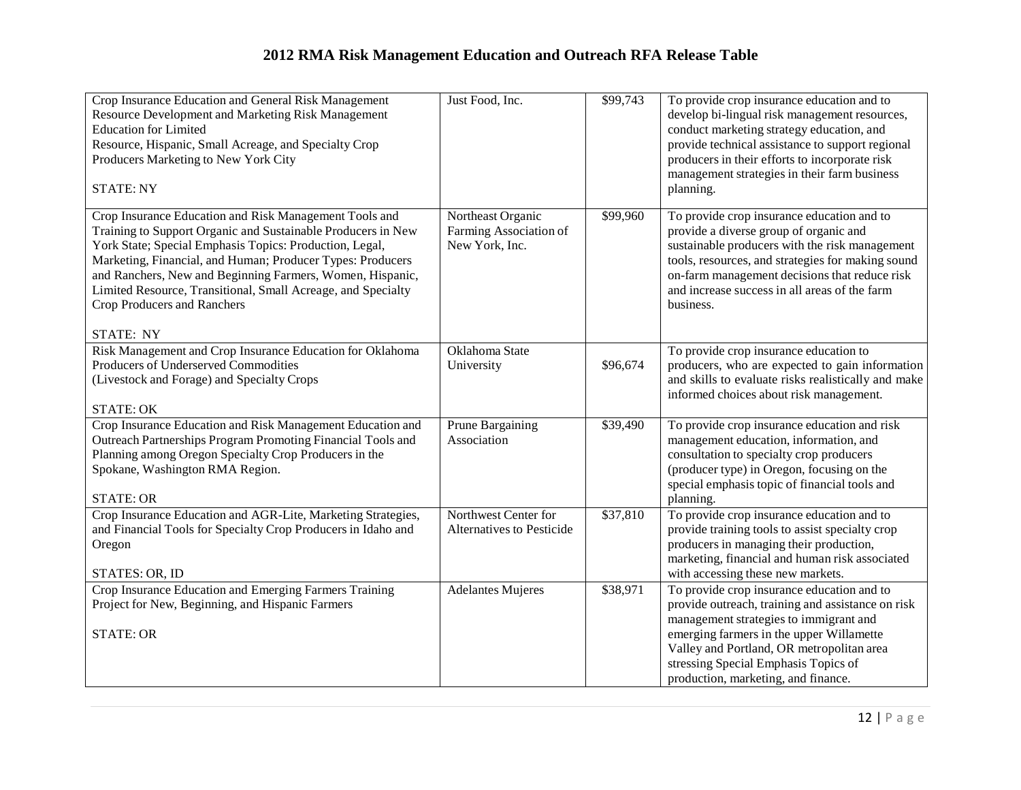| Crop Insurance Education and General Risk Management<br>Resource Development and Marketing Risk Management<br><b>Education for Limited</b><br>Resource, Hispanic, Small Acreage, and Specialty Crop<br>Producers Marketing to New York City<br><b>STATE: NY</b>                                                                                                                                                                        | Just Food, Inc.                                               | \$99,743 | To provide crop insurance education and to<br>develop bi-lingual risk management resources,<br>conduct marketing strategy education, and<br>provide technical assistance to support regional<br>producers in their efforts to incorporate risk<br>management strategies in their farm business<br>planning.       |
|----------------------------------------------------------------------------------------------------------------------------------------------------------------------------------------------------------------------------------------------------------------------------------------------------------------------------------------------------------------------------------------------------------------------------------------|---------------------------------------------------------------|----------|-------------------------------------------------------------------------------------------------------------------------------------------------------------------------------------------------------------------------------------------------------------------------------------------------------------------|
| Crop Insurance Education and Risk Management Tools and<br>Training to Support Organic and Sustainable Producers in New<br>York State; Special Emphasis Topics: Production, Legal,<br>Marketing, Financial, and Human; Producer Types: Producers<br>and Ranchers, New and Beginning Farmers, Women, Hispanic,<br>Limited Resource, Transitional, Small Acreage, and Specialty<br><b>Crop Producers and Ranchers</b><br><b>STATE: NY</b> | Northeast Organic<br>Farming Association of<br>New York, Inc. | \$99,960 | To provide crop insurance education and to<br>provide a diverse group of organic and<br>sustainable producers with the risk management<br>tools, resources, and strategies for making sound<br>on-farm management decisions that reduce risk<br>and increase success in all areas of the farm<br>business.        |
| Risk Management and Crop Insurance Education for Oklahoma<br>Producers of Underserved Commodities<br>(Livestock and Forage) and Specialty Crops<br><b>STATE: OK</b>                                                                                                                                                                                                                                                                    | Oklahoma State<br>University                                  | \$96,674 | To provide crop insurance education to<br>producers, who are expected to gain information<br>and skills to evaluate risks realistically and make<br>informed choices about risk management.                                                                                                                       |
| Crop Insurance Education and Risk Management Education and<br>Outreach Partnerships Program Promoting Financial Tools and<br>Planning among Oregon Specialty Crop Producers in the<br>Spokane, Washington RMA Region.<br><b>STATE: OR</b>                                                                                                                                                                                              | <b>Prune Bargaining</b><br>Association                        | \$39,490 | To provide crop insurance education and risk<br>management education, information, and<br>consultation to specialty crop producers<br>(producer type) in Oregon, focusing on the<br>special emphasis topic of financial tools and<br>planning.                                                                    |
| Crop Insurance Education and AGR-Lite, Marketing Strategies,<br>and Financial Tools for Specialty Crop Producers in Idaho and<br>Oregon<br>STATES: OR, ID                                                                                                                                                                                                                                                                              | Northwest Center for<br><b>Alternatives to Pesticide</b>      | \$37,810 | To provide crop insurance education and to<br>provide training tools to assist specialty crop<br>producers in managing their production,<br>marketing, financial and human risk associated<br>with accessing these new markets.                                                                                   |
| Crop Insurance Education and Emerging Farmers Training<br>Project for New, Beginning, and Hispanic Farmers<br><b>STATE: OR</b>                                                                                                                                                                                                                                                                                                         | <b>Adelantes Mujeres</b>                                      | \$38,971 | To provide crop insurance education and to<br>provide outreach, training and assistance on risk<br>management strategies to immigrant and<br>emerging farmers in the upper Willamette<br>Valley and Portland, OR metropolitan area<br>stressing Special Emphasis Topics of<br>production, marketing, and finance. |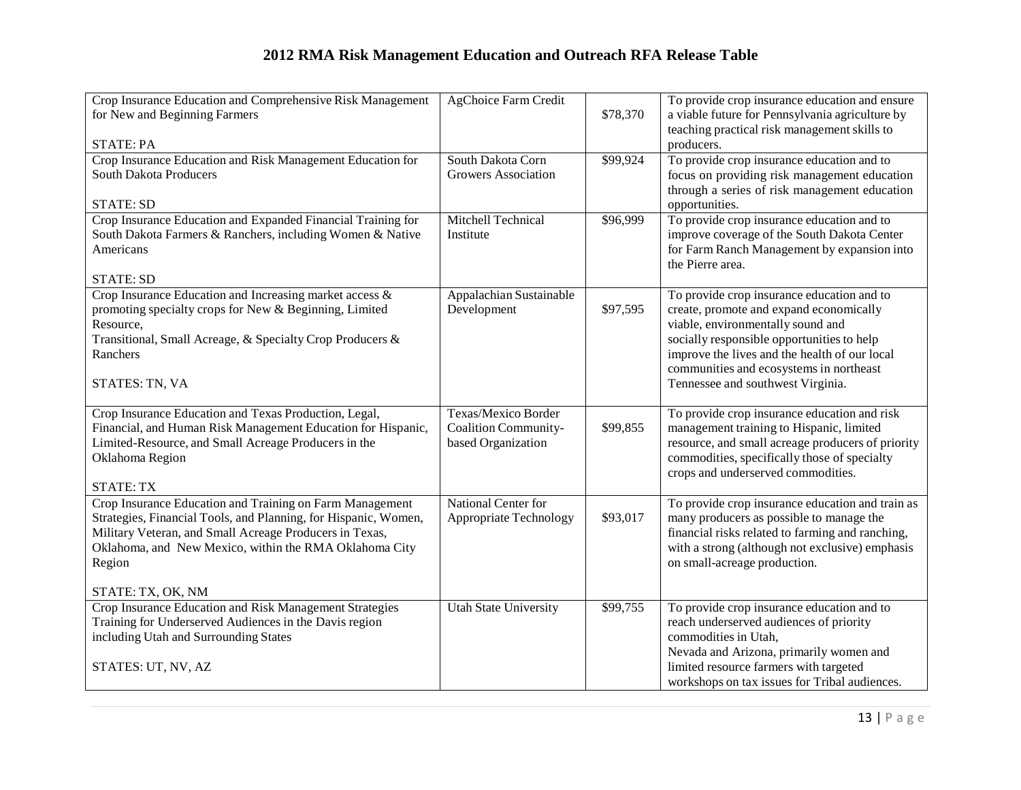| Crop Insurance Education and Comprehensive Risk Management<br>for New and Beginning Farmers | <b>AgChoice Farm Credit</b>   | \$78,370 | To provide crop insurance education and ensure<br>a viable future for Pennsylvania agriculture by<br>teaching practical risk management skills to |
|---------------------------------------------------------------------------------------------|-------------------------------|----------|---------------------------------------------------------------------------------------------------------------------------------------------------|
| <b>STATE: PA</b>                                                                            |                               |          | producers.                                                                                                                                        |
| Crop Insurance Education and Risk Management Education for                                  | South Dakota Corn             | \$99,924 | To provide crop insurance education and to                                                                                                        |
| <b>South Dakota Producers</b>                                                               | <b>Growers Association</b>    |          | focus on providing risk management education                                                                                                      |
| <b>STATE: SD</b>                                                                            |                               |          | through a series of risk management education<br>opportunities.                                                                                   |
| Crop Insurance Education and Expanded Financial Training for                                | Mitchell Technical            | \$96,999 | To provide crop insurance education and to                                                                                                        |
| South Dakota Farmers & Ranchers, including Women & Native                                   | Institute                     |          | improve coverage of the South Dakota Center                                                                                                       |
| Americans                                                                                   |                               |          | for Farm Ranch Management by expansion into<br>the Pierre area.                                                                                   |
| <b>STATE: SD</b>                                                                            |                               |          |                                                                                                                                                   |
| Crop Insurance Education and Increasing market access &                                     | Appalachian Sustainable       |          | To provide crop insurance education and to                                                                                                        |
| promoting specialty crops for New & Beginning, Limited                                      | Development                   | \$97,595 | create, promote and expand economically                                                                                                           |
| Resource,                                                                                   |                               |          | viable, environmentally sound and                                                                                                                 |
| Transitional, Small Acreage, & Specialty Crop Producers &                                   |                               |          | socially responsible opportunities to help                                                                                                        |
| Ranchers                                                                                    |                               |          | improve the lives and the health of our local                                                                                                     |
|                                                                                             |                               |          | communities and ecosystems in northeast                                                                                                           |
| STATES: TN, VA                                                                              |                               |          | Tennessee and southwest Virginia.                                                                                                                 |
| Crop Insurance Education and Texas Production, Legal,                                       | Texas/Mexico Border           |          | To provide crop insurance education and risk                                                                                                      |
| Financial, and Human Risk Management Education for Hispanic,                                | <b>Coalition Community-</b>   | \$99,855 | management training to Hispanic, limited                                                                                                          |
| Limited-Resource, and Small Acreage Producers in the                                        | based Organization            |          | resource, and small acreage producers of priority                                                                                                 |
| Oklahoma Region                                                                             |                               |          | commodities, specifically those of specialty                                                                                                      |
|                                                                                             |                               |          | crops and underserved commodities.                                                                                                                |
| <b>STATE: TX</b>                                                                            |                               |          |                                                                                                                                                   |
| Crop Insurance Education and Training on Farm Management                                    | National Center for           |          | To provide crop insurance education and train as                                                                                                  |
| Strategies, Financial Tools, and Planning, for Hispanic, Women,                             | <b>Appropriate Technology</b> | \$93,017 | many producers as possible to manage the                                                                                                          |
| Military Veteran, and Small Acreage Producers in Texas,                                     |                               |          | financial risks related to farming and ranching,                                                                                                  |
| Oklahoma, and New Mexico, within the RMA Oklahoma City                                      |                               |          | with a strong (although not exclusive) emphasis                                                                                                   |
| Region                                                                                      |                               |          | on small-acreage production.                                                                                                                      |
| STATE: TX, OK, NM                                                                           |                               |          |                                                                                                                                                   |
| Crop Insurance Education and Risk Management Strategies                                     | <b>Utah State University</b>  | \$99,755 | To provide crop insurance education and to                                                                                                        |
| Training for Underserved Audiences in the Davis region                                      |                               |          | reach underserved audiences of priority                                                                                                           |
| including Utah and Surrounding States                                                       |                               |          | commodities in Utah,                                                                                                                              |
|                                                                                             |                               |          | Nevada and Arizona, primarily women and                                                                                                           |
| STATES: UT, NV, AZ                                                                          |                               |          | limited resource farmers with targeted                                                                                                            |
|                                                                                             |                               |          | workshops on tax issues for Tribal audiences.                                                                                                     |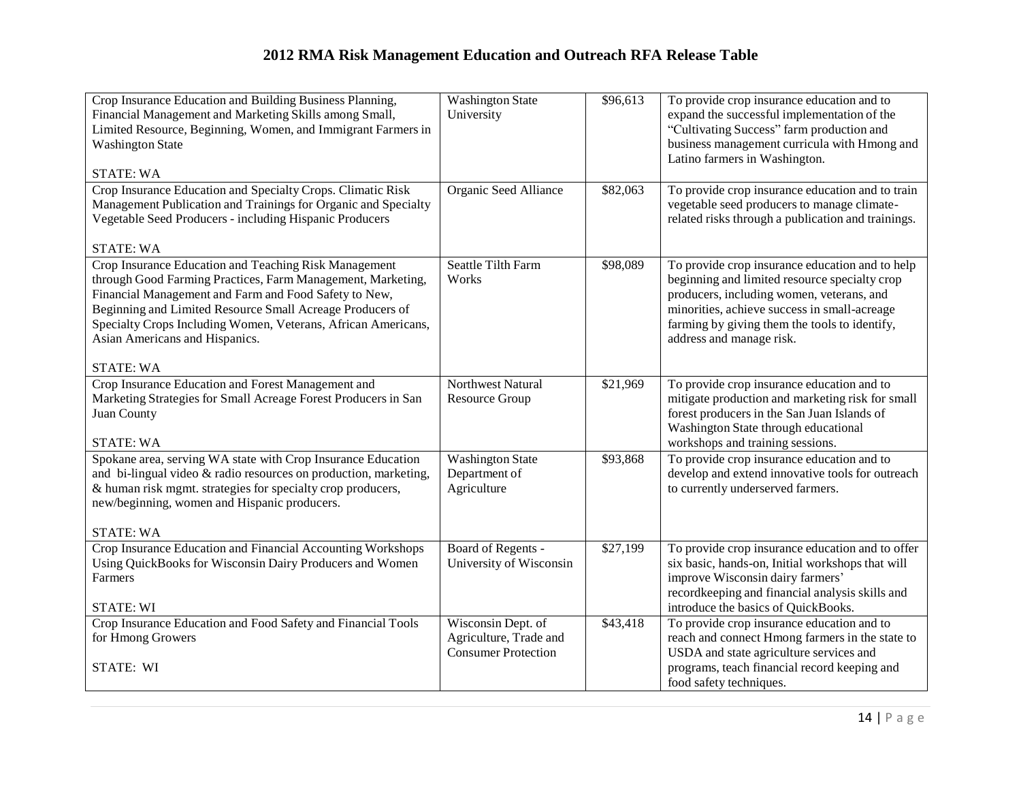| Crop Insurance Education and Building Business Planning,<br>Financial Management and Marketing Skills among Small,<br>Limited Resource, Beginning, Women, and Immigrant Farmers in<br><b>Washington State</b><br><b>STATE: WA</b>                                                                                                                                 | <b>Washington State</b><br>University                                      | \$96,613 | To provide crop insurance education and to<br>expand the successful implementation of the<br>"Cultivating Success" farm production and<br>business management curricula with Hmong and<br>Latino farmers in Washington.                                                    |
|-------------------------------------------------------------------------------------------------------------------------------------------------------------------------------------------------------------------------------------------------------------------------------------------------------------------------------------------------------------------|----------------------------------------------------------------------------|----------|----------------------------------------------------------------------------------------------------------------------------------------------------------------------------------------------------------------------------------------------------------------------------|
| Crop Insurance Education and Specialty Crops. Climatic Risk<br>Management Publication and Trainings for Organic and Specialty<br>Vegetable Seed Producers - including Hispanic Producers<br><b>STATE: WA</b>                                                                                                                                                      | <b>Organic Seed Alliance</b>                                               | \$82,063 | To provide crop insurance education and to train<br>vegetable seed producers to manage climate-<br>related risks through a publication and trainings.                                                                                                                      |
| Crop Insurance Education and Teaching Risk Management<br>through Good Farming Practices, Farm Management, Marketing,<br>Financial Management and Farm and Food Safety to New,<br>Beginning and Limited Resource Small Acreage Producers of<br>Specialty Crops Including Women, Veterans, African Americans,<br>Asian Americans and Hispanics.<br><b>STATE: WA</b> | Seattle Tilth Farm<br>Works                                                | \$98,089 | To provide crop insurance education and to help<br>beginning and limited resource specialty crop<br>producers, including women, veterans, and<br>minorities, achieve success in small-acreage<br>farming by giving them the tools to identify,<br>address and manage risk. |
| Crop Insurance Education and Forest Management and<br>Marketing Strategies for Small Acreage Forest Producers in San<br><b>Juan County</b><br><b>STATE: WA</b>                                                                                                                                                                                                    | Northwest Natural<br>Resource Group                                        | \$21,969 | To provide crop insurance education and to<br>mitigate production and marketing risk for small<br>forest producers in the San Juan Islands of<br>Washington State through educational<br>workshops and training sessions.                                                  |
| Spokane area, serving WA state with Crop Insurance Education<br>and bi-lingual video & radio resources on production, marketing,<br>& human risk mgmt. strategies for specialty crop producers,<br>new/beginning, women and Hispanic producers.<br><b>STATE: WA</b>                                                                                               | <b>Washington State</b><br>Department of<br>Agriculture                    | \$93,868 | To provide crop insurance education and to<br>develop and extend innovative tools for outreach<br>to currently underserved farmers.                                                                                                                                        |
| Crop Insurance Education and Financial Accounting Workshops<br>Using QuickBooks for Wisconsin Dairy Producers and Women<br>Farmers<br><b>STATE: WI</b>                                                                                                                                                                                                            | Board of Regents -<br>University of Wisconsin                              | \$27,199 | To provide crop insurance education and to offer<br>six basic, hands-on, Initial workshops that will<br>improve Wisconsin dairy farmers'<br>recordkeeping and financial analysis skills and<br>introduce the basics of QuickBooks.                                         |
| Crop Insurance Education and Food Safety and Financial Tools<br>for Hmong Growers<br>STATE: WI                                                                                                                                                                                                                                                                    | Wisconsin Dept. of<br>Agriculture, Trade and<br><b>Consumer Protection</b> | \$43,418 | To provide crop insurance education and to<br>reach and connect Hmong farmers in the state to<br>USDA and state agriculture services and<br>programs, teach financial record keeping and<br>food safety techniques.                                                        |